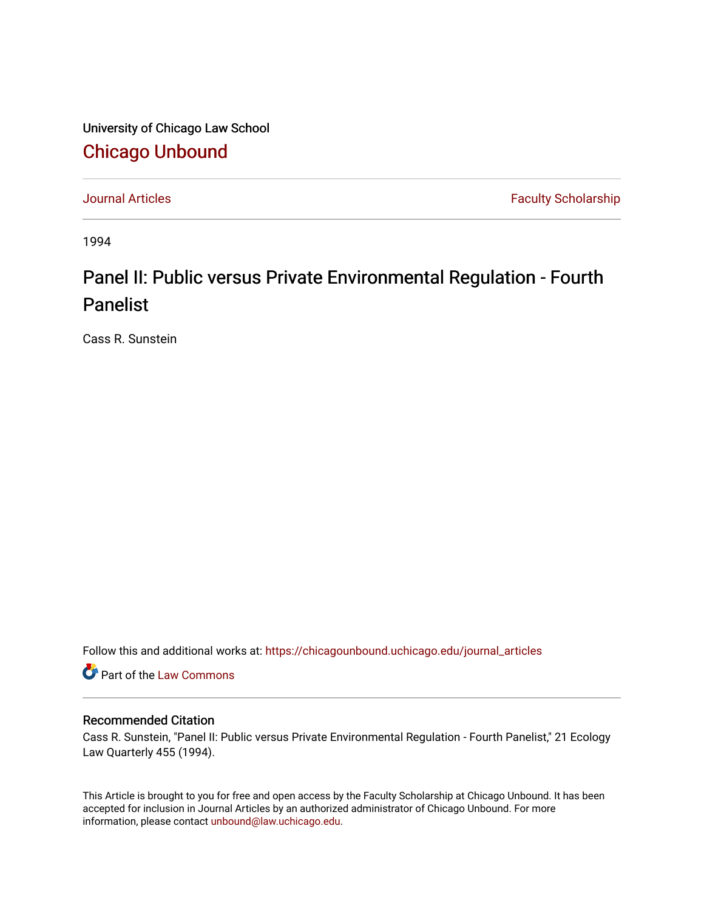University of Chicago Law School [Chicago Unbound](https://chicagounbound.uchicago.edu/)

[Journal Articles](https://chicagounbound.uchicago.edu/journal_articles) **Faculty Scholarship Faculty Scholarship** 

1994

## Panel II: Public versus Private Environmental Regulation - Fourth Panelist

Cass R. Sunstein

Follow this and additional works at: [https://chicagounbound.uchicago.edu/journal\\_articles](https://chicagounbound.uchicago.edu/journal_articles?utm_source=chicagounbound.uchicago.edu%2Fjournal_articles%2F8497&utm_medium=PDF&utm_campaign=PDFCoverPages) 

Part of the [Law Commons](http://network.bepress.com/hgg/discipline/578?utm_source=chicagounbound.uchicago.edu%2Fjournal_articles%2F8497&utm_medium=PDF&utm_campaign=PDFCoverPages)

## Recommended Citation

Cass R. Sunstein, "Panel II: Public versus Private Environmental Regulation - Fourth Panelist," 21 Ecology Law Quarterly 455 (1994).

This Article is brought to you for free and open access by the Faculty Scholarship at Chicago Unbound. It has been accepted for inclusion in Journal Articles by an authorized administrator of Chicago Unbound. For more information, please contact [unbound@law.uchicago.edu](mailto:unbound@law.uchicago.edu).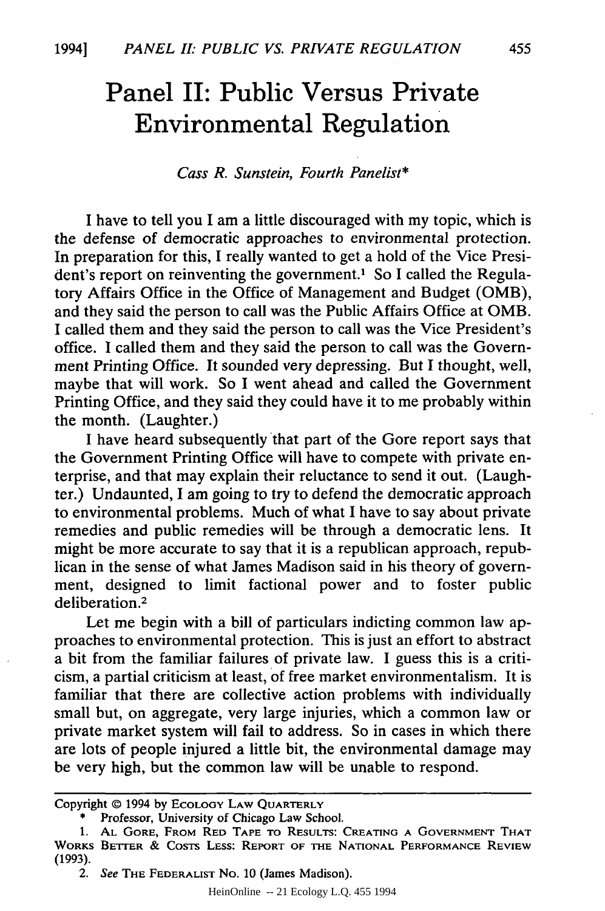## **Panel II: Public Versus Private Environmental Regulation**

## *Cass R. Sunstein, Fourth Panelist\**

I have to tell you I am a little discouraged with my topic, which is the defense of democratic approaches to environmental protection. In preparation for this, I really wanted to get a hold of the Vice President's report on reinventing the government.<sup>1</sup> So I called the Regulatory Affairs Office in the Office of Management and Budget (OMB), and they said the person to call was the Public Affairs Office at OMB. I called them and they said the person to call was the Vice President's office. I called them and they said the person to call was the Government Printing Office. It sounded very depressing. But I thought, well, maybe that will work. So I went ahead and called the Government Printing Office, and they said they could have it to me probably within the month. (Laughter.)

I have heard subsequently that part of the Gore report says that the Government Printing Office will have to compete with private enterprise, and that may explain their reluctance to send it out. (Laughter.) Undaunted, I am going to try to defend the democratic approach to environmental problems. Much of what I have to say about private remedies and public remedies will be through a democratic lens. It might be more accurate to say that it is a republican approach, republican in the sense of what James Madison said in his theory of government, designed to limit factional power and to foster public deliberation.<sup>2</sup>

Let me begin with a bill of particulars indicting common law approaches to environmental protection. This is just an effort to abstract a bit from the familiar failures of private law. I guess this is a criticism, a partial criticism at least, of free market environmentalism. It is familiar that there are collective action problems with individually small but, on aggregate, very large injuries, which a common law or private market system will fail to address. So in cases in which there are lots of people injured a little bit, the environmental damage may be very high, but the common law will be unable to respond.

HeinOnline -- 21 Ecology L.Q. 455 1994

Copyright © 1994 by ECOLOGY LAW QUARTERLY

<sup>\*</sup> Professor, University of Chicago Law School.

**<sup>1.</sup> AL** GORE, FROM RED **TAPE** TO RESULTS: **CREATING A GOVERNMENT** THAT WORKS BETTER **&** COSTS LESS: REPORT OF THE **NATIONAL** PERFORMANCE REVIEW (1993).

<sup>2.</sup> See THE FEDERALIST No. **10** (James Madison).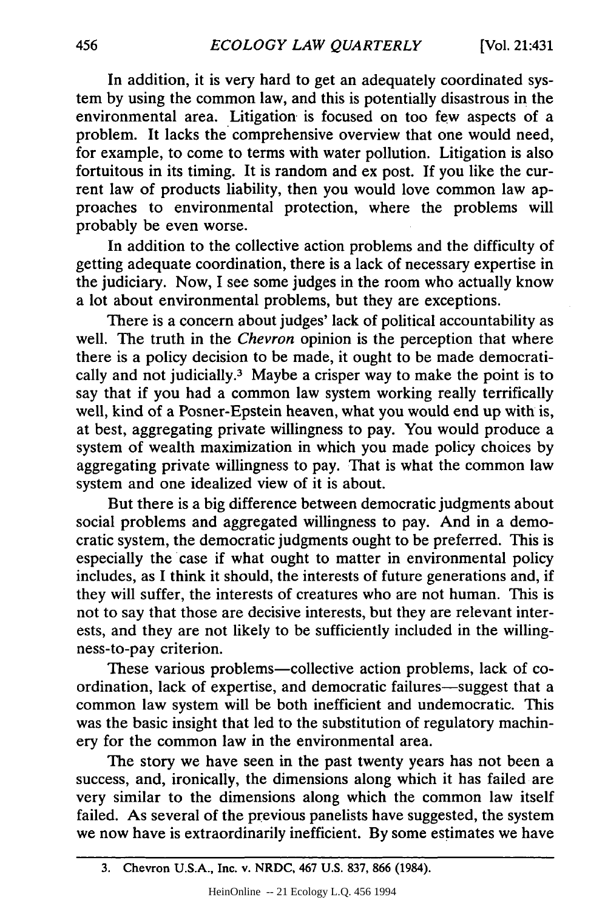In addition, it is very hard to get an adequately coordinated system by using the common law, and this is potentially disastrous in the environmental area. Litigation is focused on too few aspects of a problem. It lacks the comprehensive overview that one would need, for example, to come to terms with water pollution. Litigation is also fortuitous in its timing. It is random and ex post. If you like the current law of products liability, then you would love common law approaches to environmental protection, where the problems will probably be even worse.

In addition to the collective action problems and the difficulty of getting adequate coordination, there is a lack of necessary expertise in the judiciary. Now, I see some judges in the room who actually know a lot about environmental problems, but they are exceptions.

There is a concern about judges' lack of political accountability as well. The truth in the *Chevron* opinion is the perception that where there is a policy decision to be made, it ought to be made democratically and not judicially.3 Maybe a crisper way to make the point is to say that if you had a common law system working really terrifically well, kind of a Posner-Epstein heaven, what you would end up with is, at best, aggregating private willingness to pay. You would produce a system of wealth maximization in which you made policy choices by aggregating private willingness to pay. That is what the common law system and one idealized view of it is about.

But there is a big difference between democratic judgments about social problems and aggregated willingness to pay. And in a democratic system, the democratic judgments ought to be preferred. This is especially the case if what ought to matter in environmental policy includes, as I think it should, the interests of future generations and, if they will suffer, the interests of creatures who are not human. This is not to say that those are decisive interests, but they are relevant interests, and they are not likely to be sufficiently included in the willingness-to-pay criterion.

These various problems-collective action problems, lack of coordination, lack of expertise, and democratic failures-suggest that a common law system will be both inefficient and undemocratic. This was the basic insight that led to the substitution of regulatory machinery for the common law in the environmental area.

The story we have seen in the past twenty years has not been a success, and, ironically, the dimensions along which it has failed are very similar to the dimensions along which the common law itself failed. As several of the previous panelists have suggested, the system we now have is extraordinarily inefficient. By some estimates we have

**<sup>3.</sup>** Chevron **U.S.A.,** Inc. v. NRDC, 467 **U.S. 837, 866** (1984).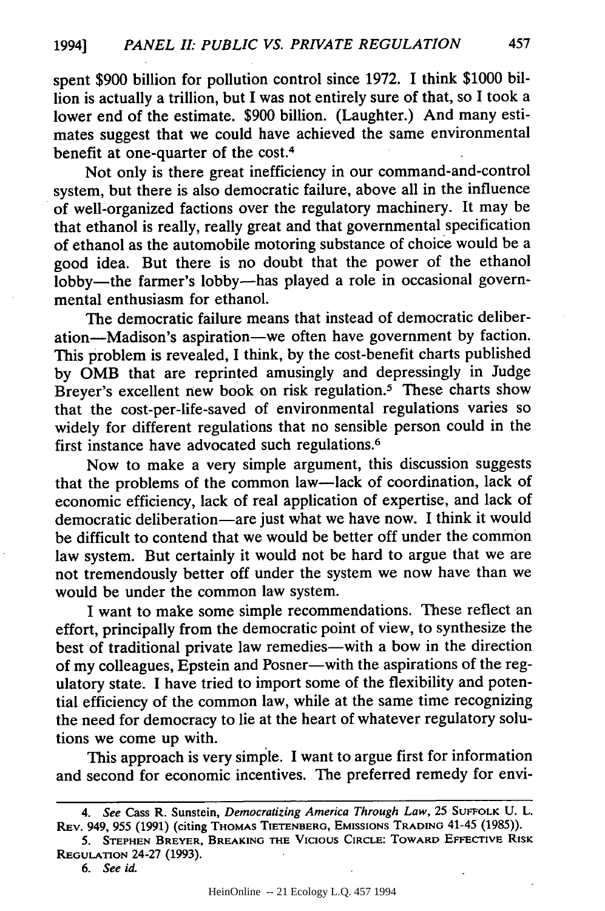spent \$900 billion for pollution control since 1972. I think \$1000 billion is actually a trillion, but I was not entirely sure of that, so I took a lower end of the estimate. \$900 billion. (Laughter.) And many estimates suggest that we could have achieved the same environmental benefit at one-quarter of the cost.<sup>4</sup>

Not only is there great inefficiency in our command-and-control system, but there is also democratic failure, above all in the influence of well-organized factions over the regulatory machinery. It may be that ethanol is really, really great and that governmental specification of ethanol as the automobile motoring substance of choice would be a good idea. But there is no doubt that the power of the ethanol lobby-the farmer's lobby-has played a role in occasional governmental enthusiasm for ethanol.

The democratic failure means that instead of democratic deliberation-Madison's aspiration-we often have government by faction. This problem is revealed, I think, by the cost-benefit charts published by OMB that are reprinted amusingly and depressingly in Judge Breyer's excellent new book on risk regulation.<sup>5</sup> These charts show that the cost-per-life-saved of environmental regulations varies so widely for different regulations that no sensible person could in the first instance have advocated such regulations.<sup>6</sup>

Now to make a very simple argument, this discussion suggests that the problems of the common law-lack of coordination, lack of economic efficiency, lack of real application of expertise, and lack of democratic deliberation-are just what we have now. I think it would be difficult to contend that we would be better off under the common law system. But certainly it would not be hard to argue that we are not tremendously better off under the system we now have than we would be under the common law system.

I want to make some simple recommendations. These reflect an effort, principally from the democratic point of view, to synthesize the best of traditional private law remedies-with a bow in the direction of my colleagues, Epstein and Posner-with the aspirations of the regulatory state. I have tried to import some of the flexibility and potential efficiency of the common law, while at the same time recognizing the need for democracy to lie at the heart of whatever regulatory solutions we come up with.

This approach is very simple. I want to argue first for information and second for economic incentives. The preferred remedy for envi-

*<sup>4.</sup> See* Cass R. Sunstein, *Democratizing America Through Law,* 25 **SUFFOLK** U. L. **REV.** 949, 955 (1991) (citing THOMAS TIETENBERG, EMISSIONS **TRADING** 41-45 (1985)).

<sup>5.</sup> **STEPHEN BREYER,** BREAKING **THE VICIOUS** CIRCLE: TOWARD EFFECTIVE RISK REGULATION 24-27 (1993).

**<sup>6.</sup>** *See* id.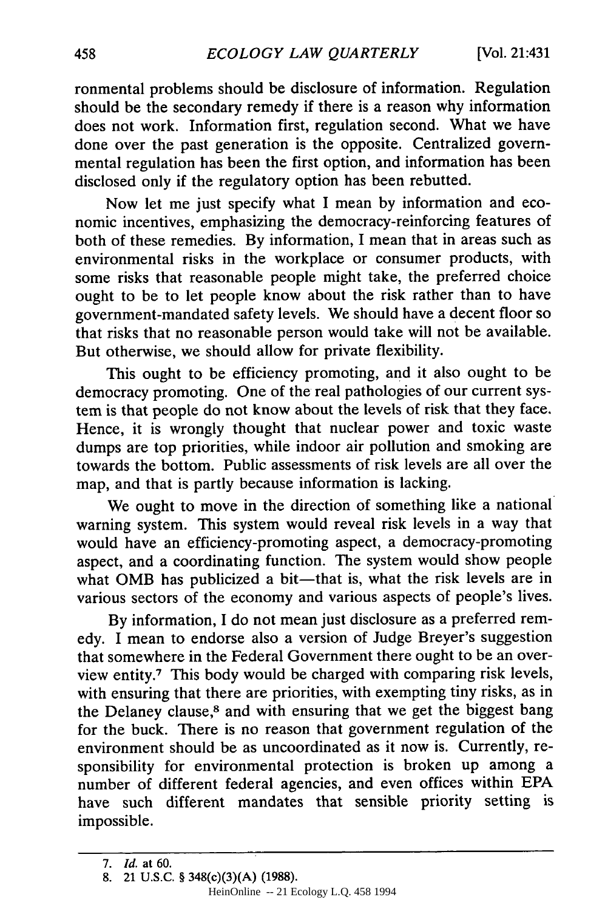ronmental problems should be disclosure of information. Regulation should be the secondary remedy if there is a reason why information does not work. Information first, regulation second. What we have done over the past generation is the opposite. Centralized governmental regulation has been the first option, and information has been disclosed only if the regulatory option has been rebutted.

Now let me just specify what I mean by information and economic incentives, emphasizing the democracy-reinforcing features of both of these remedies. By information, I mean that in areas such as environmental risks in the workplace or consumer products, with some risks that reasonable people might take, the preferred choice ought to be to let people know about the risk rather than to have government-mandated safety levels. We should have a decent floor so that risks that no reasonable person would take will not be available. But otherwise, we should allow for private flexibility.

This ought to be efficiency promoting, and it also ought to be democracy promoting. One of the real pathologies of our current system is that people do not know about the levels of risk that they face. Hence, it is wrongly thought that nuclear power and toxic waste dumps are top priorities, while indoor air pollution and smoking are towards the bottom. Public assessments of risk levels are all over the map, and that is partly because information is lacking.

We ought to move in the direction of something like a national warning system. This system would reveal risk levels in a way that would have an efficiency-promoting aspect, a democracy-promoting aspect, and a coordinating function. The system would show people what OMB has publicized a bit-that is, what the risk levels are in various sectors of the economy and various aspects of people's lives.

By information, I do not mean just disclosure as a preferred remedy. I mean to endorse also a version of Judge Breyer's suggestion that somewhere in the Federal Government there ought to be an overview entity.7 This body would be charged with comparing risk levels, with ensuring that there are priorities, with exempting tiny risks, as in the Delaney clause,<sup>8</sup> and with ensuring that we get the biggest bang for the buck. There is no reason that government regulation of the environment should be as uncoordinated as it now is. Currently, responsibility for environmental protection is broken up among a number of different federal agencies, and even offices within EPA have such different mandates that sensible priority setting is impossible.

*<sup>7.</sup> Id.* at 60.

<sup>8. 21</sup> U.S.C. § 348(c)(3)(A) (1988).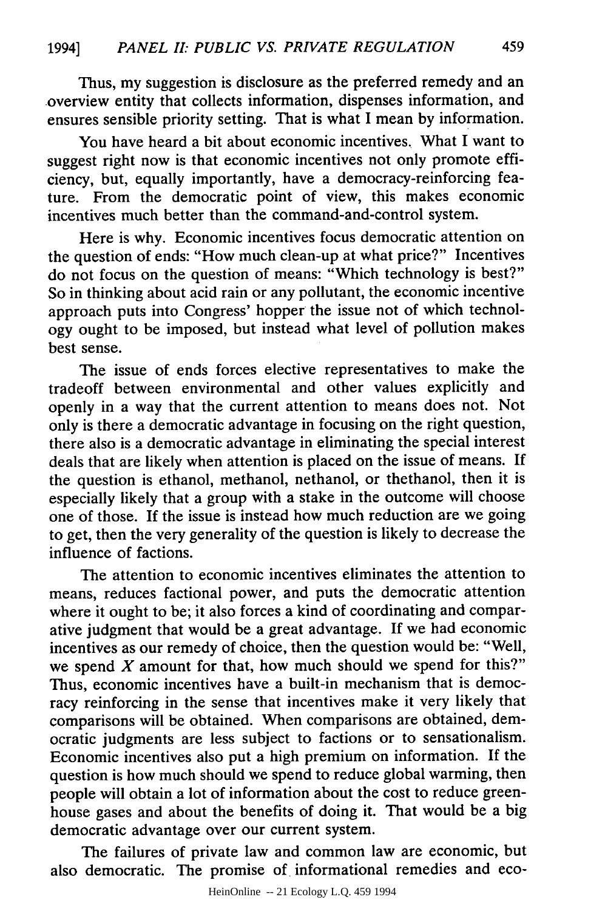Thus, my suggestion is disclosure as the preferred remedy and an overview entity that collects information, dispenses information, and ensures sensible priority setting. That is what I mean by information.

You have heard a bit about economic incentives. What I want to suggest right now is that economic incentives not only promote efficiency, but, equally importantly, have a democracy-reinforcing feature. From the democratic point of view, this makes economic incentives much better than the command-and-control system.

Here is why. Economic incentives focus democratic attention on the question of ends: "How much clean-up at what price?" Incentives do not focus on the question of means: "Which technology is best?" So in thinking about acid rain or any pollutant, the economic incentive approach puts into Congress' hopper the issue not of which technology ought to be imposed, but instead what level of pollution makes best sense.

The issue of ends forces elective representatives to make the tradeoff between environmental and other values explicitly and openly in a way that the current attention to means does not. Not only is there a democratic advantage in focusing on the right question, there also is a democratic advantage in eliminating the special interest deals that are likely when attention is placed on the issue of means. If the question is ethanol, methanol, nethanol, or thethanol, then it is especially likely that a group with a stake in the outcome will choose one of those. If the issue is instead how much reduction are we going to get, then the very generality of the question is likely to decrease the influence of factions.

The attention to economic incentives eliminates the attention to means, reduces factional power, and puts the democratic attention where it ought to be; it also forces a kind of coordinating and comparative judgment that would be a great advantage. If we had economic incentives as our remedy of choice, then the question would be: "Well, we spend  $X$  amount for that, how much should we spend for this?" Thus, economic incentives have a built-in mechanism that is democracy reinforcing in the sense that incentives make it very likely that comparisons will be obtained. When comparisons are obtained, democratic judgments are less subject to factions or to sensationalism. Economic incentives also put a high premium on information. If the question is how much should we spend to reduce global warming, then people will obtain a lot of information about the cost to reduce greenhouse gases and about the benefits of doing it. That would be a big democratic advantage over our current system.

The failures of private law and common law are economic, but also democratic. The promise of informational remedies and eco